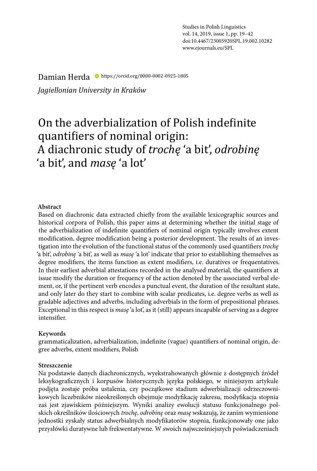Studies in Polish Linguistics vol. 14, 2019, issue 1, pp. 19–42 doi:10.4467/23005920SPL.19.002.10282 www.ejournals.eu/SPL

#### Damian Herda https://orcid.org/0000-0002-0925-1805

*Jagiellonian University in Kraków*

# On the adverbialization of Polish indefinite quantifiers of nominal origin: A diachronic study of *trochę* 'a bit', *odrobinę* 'a bit', and *masę* 'a lot'

#### **Abstract**

Based on diachronic data extracted chiefly from the available lexicographic sources and historical corpora of Polish, this paper aims at determining whether the initial stage of the adverbialization of indefinite quantifiers of nominal origin typically involves extent modification, degree modification being a posterior development. The results of an investigation into the evolution of the functional status of the commonly used quantifiers *trochę*  'a bit', *odrobinę* 'a bit', as well as *masę* 'a lot' indicate that prior to establishing themselves as degree modifiers, the items function as extent modifiers, i.e. duratives or frequentatives. In their earliest adverbial attestations recorded in the analysed material, the quantifiers at issue modify the duration or frequency of the action denoted by the associated verbal element, or, if the pertinent verb encodes a punctual event, the duration of the resultant state, and only later do they start to combine with scalar predicates, i.e. degree verbs as well as gradable adjectives and adverbs, including adverbials in the form of prepositional phrases. Exceptional in this respect is *masę* 'a lot', as it (still) appears incapable of serving as a degree intensifier.

#### **Keywords**

grammaticalization, adverbialization, indefinite (vague) quantifiers of nominal origin, degree adverbs, extent modifiers, Polish

#### **Streszczenie**

Na podstawie danych diachronicznych, wyekstrahowanych głównie z dostępnych źródeł leksykograficznych i korpusów historycznych języka polskiego, w niniejszym artykule podjęta zostaje próba ustalenia, czy początkowe stadium adwerbializacji odrzeczownikowych liczebników nieokreślonych obejmuje modyfikację zakresu, modyfikacja stopnia zaś jest zjawiskiem późniejszym. Wyniki analizy ewolucji statusu funkcjonalnego polskich określników ilościowych *trochę*, *odrobinę* oraz *masę* wskazują, że zanim wymienione jednostki zyskały status adwerbialnych modyfikatorów stopnia, funkcjonowały one jako przysłówki duratywne lub frekwentatywne. W swoich najwcześniejszych poświadczeniach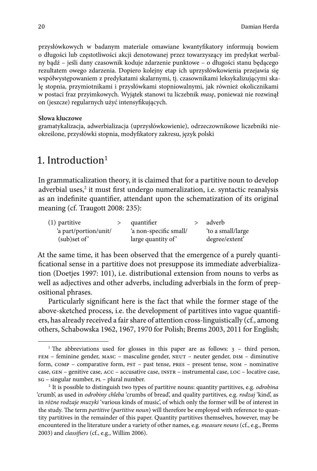przysłówkowych w badanym materiale omawiane kwantyfikatory informują bowiem o długości lub częstotliwości akcji denotowanej przez towarzyszący im predykat werbalny bądź – jeśli dany czasownik koduje zdarzenie punktowe – o długości stanu będącego rezultatem owego zdarzenia. Dopiero kolejny etap ich uprzysłówkowienia przejawia się współwystępowaniem z predykatami skalarnymi, tj. czasownikami leksykalizującymi skalę stopnia, przymiotnikami i przysłówkami stopniowalnymi, jak również okolicznikami w postaci fraz przyimkowych. Wyjątek stanowi tu liczebnik *masę*, ponieważ nie rozwinął on (jeszcze) regularnych użyć intensyfikujących.

#### **Słowa kluczowe**

gramatykalizacja, adwerbializacja (uprzysłówkowienie), odrzeczownikowe liczebniki nieokreślone, przysłówki stopnia, modyfikatory zakresu, język polski

# 1. Introduction<sup>1</sup>

In grammaticalization theory, it is claimed that for a partitive noun to develop adverbial uses,<sup>2</sup> it must first undergo numeralization, i.e. syntactic reanalysis as an indefinite quantifier, attendant upon the schematization of its original meaning (cf. Traugott 2008: 235):

| $(1)$ partitive       | quantifier             | adverb            |
|-----------------------|------------------------|-------------------|
| 'a part/portion/unit/ | 'a non-specific small/ | 'to a small/large |
| $(sub)$ set of        | large quantity of      | degree/extent'    |

At the same time, it has been observed that the emergence of a purely quantificational sense in a partitive does not presuppose its immediate adverbialization (Doetjes 1997: 101), i.e. distributional extension from nouns to verbs as well as adjectives and other adverbs, including adverbials in the form of prepositional phrases.

Particularly significant here is the fact that while the former stage of the above-sketched process, i.e. the development of partitives into vague quantifiers, has already received a fair share of attention cross-linguistically (cf., among others, Schabowska 1962, 1967, 1970 for Polish; Brems 2003, 2011 for English;

<sup>&</sup>lt;sup>1</sup> The abbreviations used for glosses in this paper are as follows:  $3 -$  third person, FEM – feminine gender, MASC – masculine gender, NEUT – neuter gender, DIM – diminutive form, COMP - comparative form, PST - past tense, PRES - present tense, NOM - nominative case, gen – genitive case, acc – accusative case, instr – instrumental case, loc – locative case, sg – singular number, pl – plural number. 2 It is possible to distinguish two types of partitive nouns: quantity partitives, e.g. *odrobina* 

<sup>&#</sup>x27;crumb', as used in *odrobiny chleba* 'crumbs of bread', and quality partitives, e.g. *rodzaj* 'kind', as in *różne rodzaje muzyki* 'various kinds of music', of which only the former will be of interest in the study. The term *partitive* (*partitive noun*) will therefore be employed with reference to quantity partitives in the remainder of this paper. Quantity partitives themselves, however, may be encountered in the literature under a variety of other names, e.g. *measure nouns* (cf., e.g., Brems 2003) and *classifiers* (cf., e.g., Willim 2006).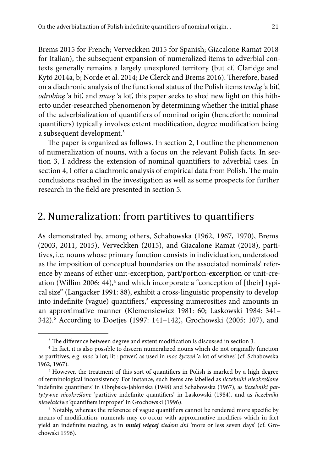Brems 2015 for French; Verveckken 2015 for Spanish; Giacalone Ramat 2018 for Italian), the subsequent expansion of numeralized items to adverbial contexts generally remains a largely unexplored territory (but cf. Claridge and Kytö 2014a, b; Norde et al. 2014; De Clerck and Brems 2016). Therefore, based on a diachronic analysis of the functional status of the Polish items *trochę* 'a bit', *odrobinę* 'a bit', and *masę* 'a lot', this paper seeks to shed new light on this hitherto under-researched phenomenon by determining whether the initial phase of the adverbialization of quantifiers of nominal origin (henceforth: nominal quantifiers) typically involves extent modification, degree modification being a subsequent development.3

The paper is organized as follows. In section 2, I outline the phenomenon of numeralization of nouns, with a focus on the relevant Polish facts. In section 3, I address the extension of nominal quantifiers to adverbial uses. In section 4, I offer a diachronic analysis of empirical data from Polish. The main conclusions reached in the investigation as well as some prospects for further research in the field are presented in section 5.

## 2. Numeralization: from partitives to quantifiers

As demonstrated by, among others, Schabowska (1962, 1967, 1970), Brems (2003, 2011, 2015), Verveckken (2015), and Giacalone Ramat (2018), partitives, i.e. nouns whose primary function consists in individuation, understood as the imposition of conceptual boundaries on the associated nominals' reference by means of either unit-excerption, part/portion-excerption or unit-creation (Willim 2006: 44),<sup>4</sup> and which incorporate a "conception of [their] typical size" (Langacker 1991: 88), exhibit a cross-linguistic propensity to develop into indefinite (vague) quantifiers,<sup>5</sup> expressing numerosities and amounts in an approximative manner (Klemensiewicz 1981: 60; Laskowski 1984: 341– 342).<sup>6</sup> According to Doetjes (1997: 141–142), Grochowski (2005: 107), and

<sup>&</sup>lt;sup>3</sup> The difference between degree and extent modification is discussed in section 3.

<sup>4</sup> In fact, it is also possible to discern numeralized nouns which do not originally function as partitives, e.g. *moc* 'a lot; lit.: power', as used in *moc życzeń* 'a lot of wishes' (cf. Schabowska 1962, 1967).

<sup>&</sup>lt;sup>5</sup> However, the treatment of this sort of quantifiers in Polish is marked by a high degree of terminological inconsistency. For instance, such items are labelled as *liczebniki nieokreślone* 'indefinite quantifiers' in Obrębska-Jabłońska (1948) and Schabowska (1967), as *liczebniki partytywne nieokreślone* 'partitive indefinite quantifiers' in Laskowski (1984), and as *liczebniki niewłaściwe* 'quantifiers improper' in Grochowski (1996).

<sup>&</sup>lt;sup>6</sup> Notably, whereas the reference of vague quantifiers cannot be rendered more specific by means of modification, numerals may co-occur with approximative modifiers which in fact yield an indefinite reading, as in *mniej więcej siedem dni* 'more or less seven days' (cf. Grochowski 1996).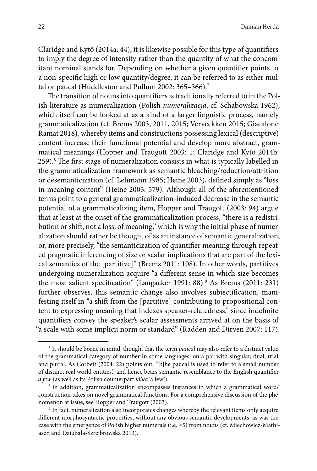Claridge and Kytö (2014a: 44), it is likewise possible for this type of quantifiers to imply the degree of intensity rather than the quantity of what the concomitant nominal stands for. Depending on whether a given quantifier points to a non-specific high or low quantity/degree, it can be referred to as either multal or paucal (Huddleston and Pullum 2002: 365-366).<sup>7</sup>

The transition of nouns into quantifiers is traditionally referred to in the Polish literature as numeralization (Polish *numeralizacja*, cf. Schabowska 1962), which itself can be looked at as a kind of a larger linguistic process, namely grammaticalization (cf. Brems 2003, 2011, 2015; Verveckken 2015; Giacalone Ramat 2018), whereby items and constructions possessing lexical (descriptive) content increase their functional potential and develop more abstract, grammatical meanings (Hopper and Traugott 2003: 1; Claridge and Kytö 2014b: 259).<sup>8</sup> The first stage of numeralization consists in what is typically labelled in the grammaticalization framework as semantic bleaching/reduction/attrition or desemanticization (cf. Lehmann 1985; Heine 2003), defined simply as "loss in meaning content" (Heine 2003: 579). Although all of the aforementioned terms point to a general grammaticalization-induced decrease in the semantic potential of a grammaticalizing item, Hopper and Traugott (2003: 94) argue that at least at the onset of the grammaticalization process, "there is a redistribution or shift, not a loss, of meaning," which is why the initial phase of numeralization should rather be thought of as an instance of semantic generalization, or, more precisely, "the semanticization of quantifier meaning through repeated pragmatic inferencing of size or scalar implications that are part of the lexical semantics of the [partitive]" (Brems 2011: 108). In other words, partitives undergoing numeralization acquire "a different sense in which size becomes the most salient specification" (Langacker 1991: 88).<sup>9</sup> As Brems (2011: 231) further observes, this semantic change also involves subjectification, manifesting itself in "a shift from the [partitive] contributing to propositional content to expressing meaning that indexes speaker-relatedness," since indefinite quantifiers convey the speaker's scalar assessments arrived at on the basis of "a scale with some implicit norm or standard" (Radden and Dirven 2007: 117).

<sup>7</sup> It should be borne in mind, though, that the term *paucal* may also refer to a distinct value of the grammatical category of number in some languages, on a par with singular, dual, trial, and plural. As Corbett (2004: 22) points out, "[t]he paucal is used to refer to a small number of distinct real world entities," and hence bears semantic resemblance to the English quantifier *a few* (as well as its Polish counterpart *kilka* 'a few').

<sup>8</sup> In addition, grammaticalization encompasses instances in which a grammatical word/ construction takes on novel grammatical functions. For a comprehensive discussion of the phenomenon at issue, see Hopper and Traugott (2003).

<sup>9</sup> In fact, numeralization also incorporates changes whereby the relevant items only acquire different morphosyntactic properties, without any obvious semantic developments, as was the case with the emergence of Polish higher numerals (i.e.  $\geq$ 5) from nouns (cf. Miechowicz-Mathiasen and Dziubała-Szrejbrowska 2013).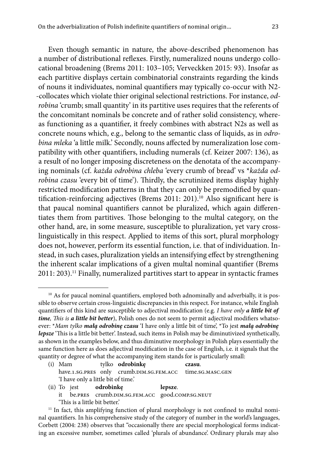Even though semantic in nature, the above-described phenomenon has a number of distributional reflexes. Firstly, numeralized nouns undergo collocational broadening (Brems 2011: 103–105; Verveckken 2015: 93). Insofar as each partitive displays certain combinatorial constraints regarding the kinds of nouns it individuates, nominal quantifiers may typically co-occur with N2- -collocates which violate thier original selectional restrictions. For instance, *odrobina* 'crumb; small quantity' in its partitive uses requires that the referents of the concomitant nominals be concrete and of rather solid consistency, whereas functioning as a quantifier, it freely combines with abstract N2s as well as concrete nouns which, e.g., belong to the semantic class of liquids, as in *odrobina mleka* 'a little milk.' Secondly, nouns affected by numeralization lose compatibility with other quantifiers, including numerals (cf. Keizer 2007: 136), as a result of no longer imposing discreteness on the denotata of the accompanying nominals (cf. *każda odrobina chleba* 'every crumb of bread' vs \**każda odrobina czasu* 'every bit of time'). Thirdly, the scrutinized items display highly restricted modification patterns in that they can only be premodified by quantification-reinforcing adjectives (Brems 2011: 201).<sup>10</sup> Also significant here is that paucal nominal quantifiers cannot be pluralized, which again differentiates them from partitives. Those belonging to the multal category, on the other hand, are, in some measure, susceptible to pluralization, yet vary crosslinguistically in this respect. Applied to items of this sort, plural morphology does not, however, perform its essential function, i.e. that of individuation. Instead, in such cases, pluralization yields an intensifying effect by strengthening the inherent scalar implications of a given multal nominal quantifier (Brems 2011: 203).<sup>11</sup> Finally, numeralized partitives start to appear in syntactic frames

- (i) Mam tylko **odrobinkę czasu**. have.1.sg.pres only crumb.DIM.sg.FEM.ACC time.sg.MASC.GEN 'I have only a little bit of time.'
- (ii) To jest **odrobinkę lepsze**. it be.pres crumb.dim.sg.fem.acc good.comp.sg.neut 'This is a little bit better.'

<sup>&</sup>lt;sup>10</sup> As for paucal nominal quantifiers, employed both adnominally and adverbially, it is possible to observe certain cross-linguistic discrepancies in this respect. For instance, while English quantifiers of this kind are susceptible to adjectival modification (e.g. *I have only a little bit of time, This is a little bit better*), Polish ones do not seem to permit adjectival modifiers whatsoever: \**Mam tylko małą odrobinę czasu* 'I have only a little bit of time', \*To jest *małą odrobinę lepsze* 'This is a little bit better'. Instead, such items in Polish may be diminutivized synthetically, as shown in the examples below, and thus diminutive morphology in Polish plays essentially the same function here as does adjectival modification in the case of English, i.e. it signals that the quantity or degree of what the accompanying item stands for is particularly small:

<sup>&</sup>lt;sup>11</sup> In fact, this amplifying function of plural morphology is not confined to multal nominal quantifiers. In his comprehensive study of the category of number in the world's languages, Corbett (2004: 238) observes that "occasionally there are special morphological forms indicating an excessive number, sometimes called 'plurals of abundance'. Ordinary plurals may also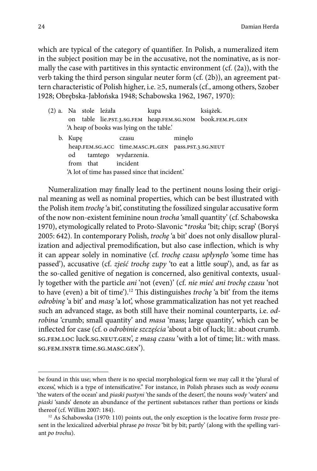which are typical of the category of quantifier. In Polish, a numeralized item in the subject position may be in the accusative, not the nominative, as is normally the case with partitives in this syntactic environment  $(cf. (2a))$ , with the verb taking the third person singular neuter form (cf. (2b)), an agreement pattern characteristic of Polish higher, i.e. ≥5, numerals (cf., among others, Szober 1928; Obrębska-Jabłońska 1948; Schabowska 1962, 1967, 1970):

| (2) a. Na stole leżała |  |                                                     | kupa |        | książek.                                                  |
|------------------------|--|-----------------------------------------------------|------|--------|-----------------------------------------------------------|
|                        |  |                                                     |      |        | on table lie.PST.3.SG.FEM heap.FEM.SG.NOM book.FEM.PL.GEN |
|                        |  | 'A heap of books was lying on the table.'           |      |        |                                                           |
| b. Kupe                |  | czasu                                               |      | minelo |                                                           |
|                        |  | heap.FEM.SG.ACC time.MASC.PL.GEN pass.PST.3.SG.NEUT |      |        |                                                           |
|                        |  | od tamtego wydarzenia.                              |      |        |                                                           |
|                        |  | from that incident                                  |      |        |                                                           |
|                        |  | 'A lot of time has passed since that incident.'     |      |        |                                                           |

Numeralization may finally lead to the pertinent nouns losing their original meaning as well as nominal properties, which can be best illustrated with the Polish item *trochę* 'a bit', constituting the fossilized singular accusative form of the now non-existent feminine noun *trocha* 'small quantity' (cf. Schabowska 1970), etymologically related to Proto-Slavonic \**troska* 'bit; chip; scrap' (Boryś 2005: 642). In contemporary Polish, *trochę* 'a bit' does not only disallow pluralization and adjectival premodification, but also case inflection, which is why it can appear solely in nominative (cf. *trochę czasu upłynęło* 'some time has passed'), accusative (cf. *zjeść trochę zupy* 'to eat a little soup'), and, as far as the so-called genitive of negation is concerned, also genitival contexts, usually together with the particle *ani* 'not (even)' (cf. *nie mieć ani trochę czasu* 'not to have (even) a bit of time').12 This distinguishes *trochę* 'a bit' from the items *odrobinę* 'a bit' and *masę* 'a lot', whose grammaticalization has not yet reached such an advanced stage, as both still have their nominal counterparts, i.e. *odrobina* 'crumb; small quantity' and *masa* 'mass; large quantity', which can be inflected for case (cf. o *odrobinie szczęścia* 'about a bit of luck; lit.: about crumb. sg.FEM.LOC luck.sg.NEUT.GEN', *z masq czasu* 'with a lot of time; lit.: with mass. sg.fem.instr time.sg.masc.gen').

be found in this use; when there is no special morphological form we may call it the 'plural of excess', which is a type of intensificative." For instance, in Polish phrases such as *wody oceanu* 'the waters of the ocean' and *piaski pustyni* 'the sands of the desert', the nouns *wody* 'waters' and *piaski* 'sands' denote an abundance of the pertinent substances rather than portions or kinds thereof (cf. Willim 2007: 184). 12 As Schabowska (1970: 110) points out, the only exception is the locative form *trosze* pre-

sent in the lexicalized adverbial phrase *po trosze* 'bit by bit; partly' (along with the spelling variant *po trochu*).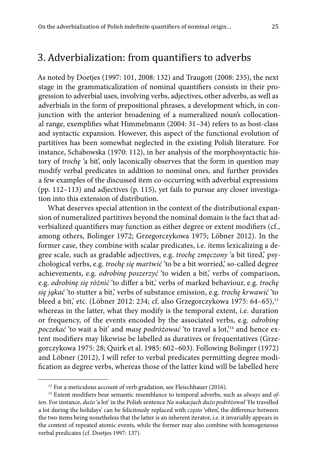# 3. Adverbialization: from quantifiers to adverbs

As noted by Doetjes (1997: 101, 2008: 132) and Traugott (2008: 235), the next stage in the grammaticalization of nominal quantifiers consists in their progression to adverbial uses, involving verbs, adjectives, other adverbs, as well as adverbials in the form of prepositional phrases, a development which, in conjunction with the anterior broadening of a numeralized noun's collocational range, exemplifies what Himmelmann (2004: 31–34) refers to as host-class and syntactic expansion. However, this aspect of the functional evolution of partitives has been somewhat neglected in the existing Polish literature. For instance, Schabowska (1970: 112), in her analysis of the morphosyntactic history of *trochę* 'a bit', only laconically observes that the form in question may modify verbal predicates in addition to nominal ones, and further provides a few examples of the discussed item co-occurring with adverbial expressions (pp. 112–113) and adjectives (p. 115), yet fails to pursue any closer investigation into this extension of distribution.

What deserves special attention in the context of the distributional expansion of numeralized partitives beyond the nominal domain is the fact that adverbialized quantifiers may function as either degree or extent modifiers (cf., among others, Bolinger 1972; Grzegorczykowa 1975; Löbner 2012). In the former case, they combine with scalar predicates, i.e. items lexicalizing a degree scale, such as gradable adjectives, e.g. *trochę zmęczony* 'a bit tired,' psychological verbs, e.g. *trochę się martwić* 'to be a bit worried,' so-called degree achievements, e.g. *odrobinę poszerzyć* 'to widen a bit,' verbs of comparison, e.g. *odrobinę się różnić* 'to differ a bit,' verbs of marked behaviour, e.g. *trochę się jąkać* 'to stutter a bit,' verbs of substance emission, e.g. *trochę krwawić* 'to bleed a bit,' etc. (Löbner 2012: 234; cf. also Grzegorczykowa 1975: 64-65),<sup>13</sup> whereas in the latter, what they modify is the temporal extent, i.e. duration or frequency, of the events encoded by the associated verbs, e.g. *odrobinę poczekać* 'to wait a bit' and *masę podróżować* 'to travel a lot,'14 and hence extent modifiers may likewise be labelled as duratives or frequentatives (Grzegorczykowa 1975: 28; Quirk et al. 1985: 602–603). Following Bolinger (1972) and Löbner (2012), I will refer to verbal predicates permitting degree modification as degree verbs, whereas those of the latter kind will be labelled here

<sup>&</sup>lt;sup>13</sup> For a meticulous account of verb gradation, see Fleischhauer (2016).

<sup>&</sup>lt;sup>14</sup> Extent modifiers bear semantic resemblance to temporal adverbs, such as *always* and of*ten*. For instance, *dużo* 'a lot' in the Polish sentence *Na wakacjach dużo podróżował* 'He travelled a lot during the holidays' can be felicitously replaced with *często* 'often', the difference between the two items being nonetheless that the latter is an inherent iterator, i.e. it invariably appears in the context of repeated atomic events, while the former may also combine with homogeneous verbal predicates (cf. Doetjes 1997: 137).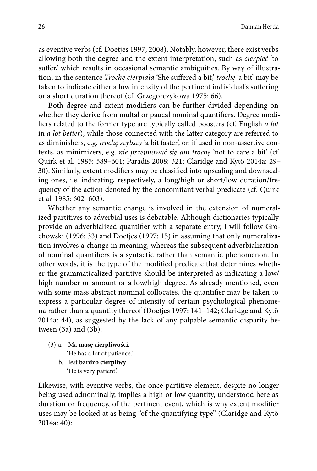as eventive verbs (cf. Doetjes 1997, 2008). Notably, however, there exist verbs allowing both the degree and the extent interpretation, such as *cierpieć* 'to suffer,' which results in occasional semantic ambiguities. By way of illustration, in the sentence *Trochę cierpiała* 'She suffered a bit,' *trochę* 'a bit' may be taken to indicate either a low intensity of the pertinent individual's suffering or a short duration thereof (cf. Grzegorczykowa 1975: 66).

Both degree and extent modifiers can be further divided depending on whether they derive from multal or paucal nominal quantifiers. Degree modifiers related to the former type are typically called boosters (cf. English *a lot* in *a lot better*), while those connected with the latter category are referred to as diminishers, e.g. *trochę szybszy* 'a bit faster', or, if used in non-assertive contexts, as minimizers, e.g. *nie przejmować się ani trochę* 'not to care a bit' (cf. Quirk et al. 1985: 589–601; Paradis 2008: 321; Claridge and Kytö 2014a: 29– 30). Similarly, extent modifiers may be classified into upscaling and downscaling ones, i.e. indicating, respectively, a long/high or short/low duration/frequency of the action denoted by the concomitant verbal predicate (cf. Quirk et al. 1985: 602–603).

Whether any semantic change is involved in the extension of numeralized partitives to adverbial uses is debatable. Although dictionaries typically provide an adverbialized quantifier with a separate entry, I will follow Grochowski (1996: 33) and Doetjes (1997: 15) in assuming that only numeralization involves a change in meaning, whereas the subsequent adverbialization of nominal quantifiers is a syntactic rather than semantic phenomenon. In other words, it is the type of the modified predicate that determines whether the grammaticalized partitive should be interpreted as indicating a low/ high number or amount or a low/high degree. As already mentioned, even with some mass abstract nominal collocates, the quantifier may be taken to express a particular degree of intensity of certain psychological phenomena rather than a quantity thereof (Doetjes 1997: 141–142; Claridge and Kytö 2014a: 44), as suggested by the lack of any palpable semantic disparity between (3a) and (3b):

- (3) a. Ma **masę cierpliwości**. 'He has a lot of patience.'
	- b. Jest **bardzo cierpliwy**. 'He is very patient.'

Likewise, with eventive verbs, the once partitive element, despite no longer being used adnominally, implies a high or low quantity, understood here as duration or frequency, of the pertinent event, which is why extent modifier uses may be looked at as being "of the quantifying type" (Claridge and Kytö 2014a: 40):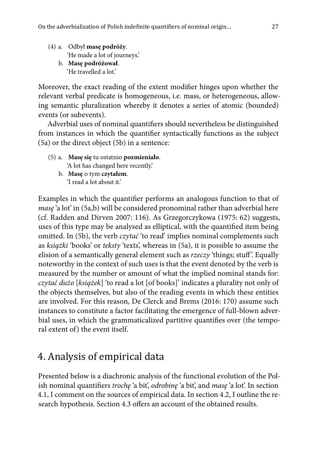- (4) a. Odbył **masę podróży**. 'He made a lot of journeys.'
	- b. **Masę podróżował**. 'He travelled a lot.'

Moreover, the exact reading of the extent modifier hinges upon whether the relevant verbal predicate is homogeneous, i.e. mass, or heterogeneous, allowing semantic pluralization whereby it denotes a series of atomic (bounded) events (or subevents).

Adverbial uses of nominal quantifiers should nevertheless be distinguished from instances in which the quantifier syntactically functions as the subject (5a) or the direct object (5b) in a sentence:

- (5) a. **Masę się** tu ostatnio **pozmieniało**. 'A lot has changed here recently.'
	- b. **Masę** o tym **czytałem**. 'I read a lot about it.'

Examples in which the quantifier performs an analogous function to that of *masę* 'a lot' in (5a,b) will be considered pronominal rather than adverbial here (cf. Radden and Dirven 2007: 116). As Grzegorczykowa (1975: 62) suggests, uses of this type may be analysed as elliptical, with the quantified item being omitted. In (5b), the verb *czytać* 'to read' implies nominal complements such as *książki* 'books' or *teksty* 'texts', whereas in (5a), it is possible to assume the elision of a semantically general element such as *rzeczy* 'things; stuff '. Equally noteworthy in the context of such uses is that the event denoted by the verb is measured by the number or amount of what the implied nominal stands for: *czytać dużo* [*książek*] 'to read a lot [of books]' indicates a plurality not only of the objects themselves, but also of the reading events in which these entities are involved. For this reason, De Clerck and Brems (2016: 170) assume such instances to constitute a factor facilitating the emergence of full-blown adverbial uses, in which the grammaticalized partitive quantifies over (the temporal extent of) the event itself.

# 4. Analysis of empirical data

Presented below is a diachronic analysis of the functional evolution of the Polish nominal quantifiers *trochę* 'a bit', *odrobinę* 'a bit', and *masę* 'a lot'. In section 4.1, I comment on the sources of empirical data. In section 4.2, I outline the research hypothesis. Section 4.3 offers an account of the obtained results.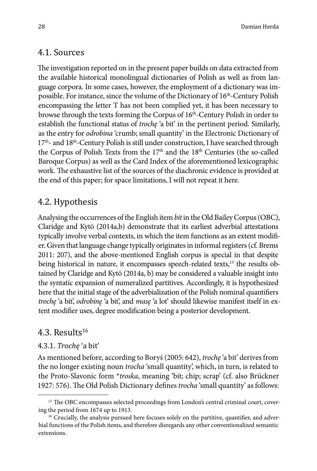### 4.1. Sources

The investigation reported on in the present paper builds on data extracted from the available historical monolingual dictionaries of Polish as well as from language corpora. In some cases, however, the employment of a dictionary was impossible. For instance, since the volume of the Dictionary of 16<sup>th</sup>-Century Polish encompassing the letter T has not been complied yet, it has been necessary to browse through the texts forming the Corpus of  $16<sup>th</sup>$ -Century Polish in order to establish the functional status of *trochę* 'a bit' in the pertinent period. Similarly, as the entry for *odrobina* 'crumb; small quantity' in the Electronic Dictionary of 17<sup>th</sup>- and 18<sup>th</sup>-Century Polish is still under construction, I have searched through the Corpus of Polish Texts from the 17<sup>th</sup> and the 18<sup>th</sup> Centuries (the so-called Baroque Corpus) as well as the Card Index of the aforementioned lexicographic work. The exhaustive list of the sources of the diachronic evidence is provided at the end of this paper; for space limitations, I will not repeat it here.

### 4.2. Hypothesis

Analysing the occurrences of the English item *bit* in the Old Bailey Corpus (OBC), Claridge and Kytö (2014a,b) demonstrate that its earliest adverbial attestations typically involve verbal contexts, in which the item functions as an extent modifier. Given that language change typically originates in informal registers (cf. Brems 2011: 207), and the above-mentioned English corpus is special in that despite being historical in nature, it encompasses speech-related texts,<sup>15</sup> the results obtained by Claridge and Kytö (2014a, b) may be considered a valuable insight into the syntatic expansion of numeralized partitives. Accordingly, it is hypothesized here that the initial stage of the adverbialization of the Polish nominal quantifiers *trochę* 'a bit', *odrobinę* 'a bit', and *masę* 'a lot' should likewise manifest itself in extent modifier uses, degree modification being a posterior development.

### 4.3. Results $16$

### 4.3.1. *Trochę* 'a bit'

As mentioned before, according to Boryś (2005: 642), *trochę* 'a bit' derives from the no longer existing noun *trocha* 'small quantity', which, in turn, is related to the Proto-Slavonic form \**troska*, meaning 'bit; chip; scrap' (cf. also Brückner 1927: 576). The Old Polish Dictionary defines *trocha* 'small quantity' as follows:

<sup>&</sup>lt;sup>15</sup> The OBC encompasses selected proceedings from London's central criminal court, covering the period from 1674 up to 1913.

<sup>&</sup>lt;sup>16</sup> Crucially, the analysis pursued here focuses solely on the partitive, quantifier, and adverbial functions of the Polish items, and therefore disregards any other conventionalized semantic extensions.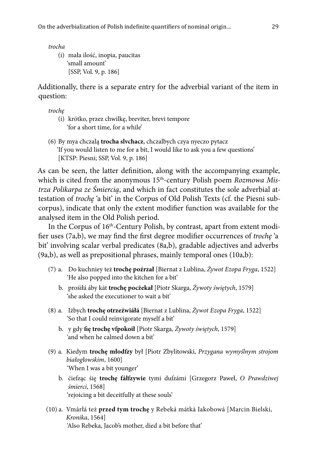*trocha*

(i) mała ilość, inopia, paucitas 'small amount' [SSP, Vol. 9, p. 186]

Additionally, there is a separate entry for the adverbial variant of the item in question:

*trochę*

- (i) krótko, przez chwilkę, breviter, brevi tempore 'for a short time, for a while'
- (6) By mya chczalą **trocha slvchacz**, chczalbych czya nyeczo pytacz 'If you would listen to me for a bit, I would like to ask you a few questions' [KTSP: Piesni; SSP, Vol. 9, p. 186]

As can be seen, the latter definition, along with the accompanying example, which is cited from the anonymous 15<sup>th</sup>-century Polish poem *Rozmowa Mistrza Polikarpa ze Śmiercią*, and which in fact constitutes the sole adverbial attestation of *trochę* 'a bit' in the Corpus of Old Polish Texts (cf. the Piesni subcorpus), indicate that only the extent modifier function was available for the analysed item in the Old Polish period.

In the Corpus of  $16<sup>th</sup>$ -Century Polish, by contrast, apart from extent modifier uses (7a,b), we may find the first degree modifier occurrences of *trochę* 'a bit' involving scalar verbal predicates (8a,b), gradable adjectives and adverbs (9a,b), as well as prepositional phrases, mainly temporal ones (10a,b):

- (7) a. Do kuchniey też **trochę poźrzał** [Biernat z Lublina, *Żywot Ezopa Fryga*, 1522] 'He also popped into the kitchen for a bit'
	- b. prośiłá áby kát **trochę pocżekał** [Piotr Skarga, *Żywoty świętych*, 1579] 'she asked the executioner to wait a bit'
- (8) a. Iżbych **trochę otrzeźwiáłá** [Biernat z Lublina, *Żywot Ezopa Fryga*, 1522] 'So that I could reinvigorate myself a bit'
	- b. y gdy **ſię trochę vſpokoił** [Piotr Skarga, *Żywoty świętych*, 1579] 'and when he calmed down a bit'
- (9) a. Kiedym **trochę młodſzy** był [Piotr Zbylitowski, *Przygana wymyślnym strojom białogłowskim*, 1600] 'When I was a bit younger'
	- b. ćieſząc śię **trochę fáłſzywie** tymi duſzámi [Grzegorz Paweł, *O Prawdziwej śmierci*, 1568] 'rejoicing a bit deceitfully at these souls'
- (10) a. Vmárłá też **przed tym trochę** y Rebeká mátká Iakobowá [Marcin Bielski, *Kronika*, 1564] 'Also Rebeka, Jacob's mother, died a bit before that'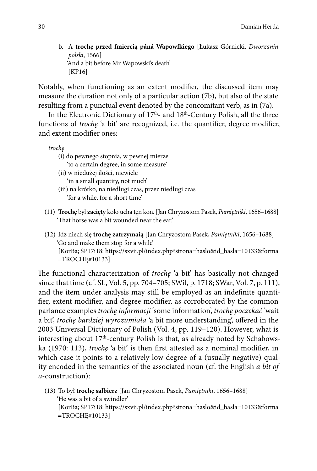b. A **trochę przed ſmiercią páná Wapowſkiego** [Łukasz Górnicki, *Dworzanin polski*, 1566] 'And a bit before Mr Wapowski's death' [KP16]

Notably, when functioning as an extent modifier, the discussed item may measure the duration not only of a particular action (7b), but also of the state resulting from a punctual event denoted by the concomitant verb, as in (7a).

In the Electronic Dictionary of  $17<sup>th</sup>$ - and  $18<sup>th</sup>$ -Century Polish, all the three functions of *trochę* 'a bit' are recognized, i.e. the quantifier, degree modifier, and extent modifier ones:

*trochę*

- (i) do pewnego stopnia, w pewnej mierze 'to a certain degree, in some measure'
- (ii) w niedużej ilości, niewiele
	- 'in a small quantity, not much'
- (iii) na krótko, na niedługi czas, przez niedługi czas 'for a while, for a short time'
- (11) **Trochę** był **zacięty** koło ucha tęn kon. [Jan Chryzostom Pasek, *Pamiętniki*, 1656–1688] 'That horse was a bit wounded near the ear.'
- (12) Idz niech się **trochę zatrzymaią** [Jan Chryzostom Pasek, *Pamiętniki*, 1656–1688] 'Go and make them stop for a while' [KorBa; SP17i18: https://sxvii.pl/index.php?strona=haslo&id\_hasla=10133&forma =TROCHĘ#10133]

The functional characterization of *trochę* 'a bit' has basically not changed since that time (cf. SL, Vol. 5, pp. 704–705; SWil, p. 1718; SWar, Vol. 7, p. 111), and the item under analysis may still be employed as an indefinite quantifier, extent modifier, and degree modifier, as corroborated by the common parlance examples *trochę informacji* 'some information', *trochę poczekać* 'wait a bit', *trochę bardziej wyrozumiała* 'a bit more understanding', offered in the 2003 Universal Dictionary of Polish (Vol. 4, pp. 119–120). However, what is interesting about 17<sup>th</sup>-century Polish is that, as already noted by Schabowska (1970: 113), *trochę* 'a bit' is then first attested as a nominal modifier, in which case it points to a relatively low degree of a (usually negative) quality encoded in the semantics of the associated noun (cf. the English *a bit of a*-construction):

(13) To był **trochę salbierz** [Jan Chryzostom Pasek, *Pamiętniki*, 1656–1688] 'He was a bit of a swindler' [KorBa; SP17i18: https://sxvii.pl/index.php?strona=haslo&id\_hasla=10133&forma =TROCHĘ#10133]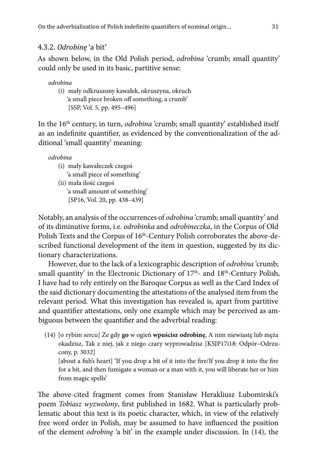### 4.3.2. *Odrobinę* 'a bit'

As shown below, in the Old Polish period, *odrobina* 'crumb; small quantity' could only be used in its basic, partitive sense:

#### *odrobina*

(i) mały odkruszony kawałek, okruszyna, okruch 'a small piece broken off something, a crumb' [SSP, Vol. 5, pp. 495–496]

In the 16<sup>th</sup> century, in turn, *odrobina* 'crumb; small quantity' established itself as an indefinite quantifier, as evidenced by the conventionalization of the additional 'small quantity' meaning:

*odrobina*

- (i) mały kawałeczek czegoś
- 'a small piece of something'
- (ii) mała ilość czegoś
	- 'a small amount of something'
	- [SP16, Vol. 20, pp. 438–439]

Notably, an analysis of the occurrences of *odrobina* 'crumb; small quantity' and of its diminutive forms, i.e. *odrobinka* and *odrobineczka*, in the Corpus of Old Polish Texts and the Corpus of 16<sup>th</sup>-Century Polish corroborates the above-described functional development of the item in question, suggested by its dictionary characterizations.

However, due to the lack of a lexicographic description of *odrobina* 'crumb; small quantity' in the Electronic Dictionary of 17<sup>th</sup>- and 18<sup>th</sup>-Century Polish, I have had to rely entirely on the Baroque Corpus as well as the Card Index of the said dictionary documenting the attestations of the analysed item from the relevant period. What this investigation has revealed is, apart from partitive and quantifier attestations, only one example which may be perceived as ambiguous between the quantifier and the adverbial reading:

(14) [o rybim sercu] Że gdy **go** w ogień **wpuścisz odrobinę**, A nim niewiastę lub męża okadzisz, Tak z niej, jak z niego czary wyprowadzisz [KSJP17i18: Odpór–Odrzucony, p. 3032]

[about a fish's heart] 'If you drop a bit of it into the fire/If you drop it into the fire for a bit, and then fumigate a woman or a man with it, you will liberate her or him from magic spells'

The above-cited fragment comes from Stanisław Herakliusz Lubomirski's poem *Tobiasz wyzwolony*, first published in 1682. What is particularly problematic about this text is its poetic character, which, in view of the relatively free word order in Polish, may be assumed to have influenced the position of the element *odrobinę* 'a bit' in the example under discussion. In (14), the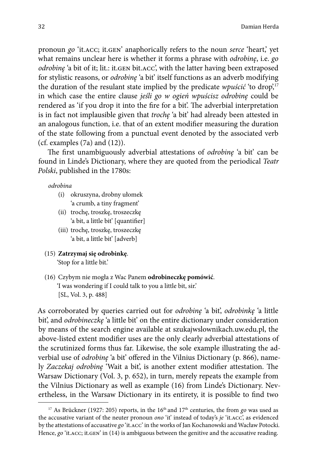pronoun *go* 'it.acc; it.gen' anaphorically refers to the noun *serce* 'heart,' yet what remains unclear here is whether it forms a phrase with *odrobinę*, i.e. *go odrobinę* 'a bit of it; lit.: it.GEN bit.ACC', with the latter having been extraposed for stylistic reasons, or *odrobinę* 'a bit' itself functions as an adverb modifying the duration of the resulant state implied by the predicate *wpuścić* 'to drop',<sup>17</sup> in which case the entire clause *jeśli go w ogień wpuścisz odrobinę* could be rendered as 'if you drop it into the fire for a bit'. The adverbial interpretation is in fact not implausible given that *trochę* 'a bit' had already been attested in an analogous function, i.e. that of an extent modifier measuring the duration of the state following from a punctual event denoted by the associated verb (cf. examples (7a) and (12)).

The first unambiguously adverbial attestations of *odrobinę* 'a bit' can be found in Linde's Dictionary, where they are quoted from the periodical *Teatr Polski*, published in the 1780s:

*odrobina*

- (i) okruszyna, drobny ułomek 'a crumb, a tiny fragment'
- (ii) trochę, troszkę, troszeczkę 'a bit, a little bit' [quantifier]
- (iii) trochę, troszkę, troszeczkę 'a bit, a little bit' [adverb]
- (15) **Zatrzymaj się odrobinkę**. 'Stop for a little bit.'
- (16) Czybym nie mogła z Wac Panem **odrobineczkę pomówić**. 'I was wondering if I could talk to you a little bit, sir.' [SL, Vol. 3, p. 488]

As corroborated by queries carried out for *odrobinę* 'a bit', *odrobinkę* 'a little bit', and *odrobineczkę* 'a little bit' on the entire dictionary under consideration by means of the search engine available at szukajwslownikach.uw.edu.pl, the above-listed extent modifier uses are the only clearly adverbial attestations of the scrutinized forms thus far. Likewise, the sole example illustrating the adverbial use of *odrobinę* 'a bit' offered in the Vilnius Dictionary (p. 866), namely *Zaczekaj odrobinę* 'Wait a bit', is another extent modifier attestation. The Warsaw Dictionary (Vol. 3, p. 652), in turn, merely repeats the example from the Vilnius Dictionary as well as example (16) from Linde's Dictionary. Nevertheless, in the Warsaw Dictionary in its entirety, it is possible to find two

<sup>&</sup>lt;sup>17</sup> As Brückner (1927: 205) reports, in the 16<sup>th</sup> and 17<sup>th</sup> centuries, the from *go* was used as the accusative variant of the neuter pronoun *ono* 'it' instead of today's *je* 'it.acc', as evidenced by the attestations of accusative *go* 'it.acc' in the works of Jan Kochanowski and Wacław Potocki. Hence, *go* 'it. ACC; it. GEN' in (14) is ambiguous between the genitive and the accusative reading.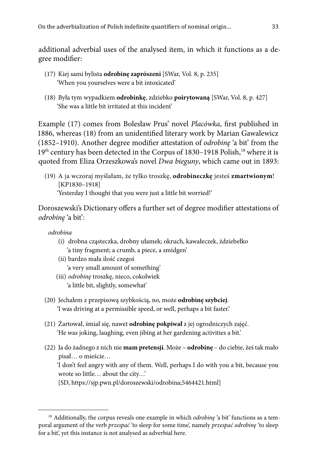additional adverbial uses of the analysed item, in which it functions as a degree modifier:

- (17) Kiej sami bylista **odrobinę zaprószeni** [SWar, Vol. 8, p. 235] 'When you yourselves were a bit intoxicated'
- (18) Była tym wypadkiem **odrobinkę**, zdziebko **poirytowaną** [SWar, Vol. 8, p. 427] 'She was a little bit irritated at this incident'

Example (17) comes from Bolesław Prus' novel *Placówka*, first published in 1886, whereas (18) from an unidentified literary work by Marian Gawalewicz (1852–1910). Another degree modifier attestation of *odrobinę* 'a bit' from the 19<sup>th</sup> century has been detected in the Corpus of 1830-1918 Polish,<sup>18</sup> where it is quoted from Eliza Orzeszkowa's novel *Dwa bieguny*, which came out in 1893:

(19) A ja wczoraj myślałam, że tylko troszkę, **odrobineczkę** jesteś **zmartwionym**! [KP1830–1918] 'Yesterday I thought that you were just a little bit worried!'

Doroszewski's Dictionary offers a further set of degree modifier attestations of *odrobinę* 'a bit':

*odrobina*

- (i) drobna cząsteczka, drobny ułamek; okruch, kawałeczek, ździebełko 'a tiny fragment; a crumb, a piece, a smidgen'
- (ii) bardzo mała ilość czegoś 'a very small amount of something'
- (iii) *odrobinę* troszkę, nieco, cokolwiek 'a little bit, slightly, somewhat'
- (20) Jechałem z przepisową szybkością, no, może **odrobinę szybciej**. 'I was driving at a permissible speed, or well, perhaps a bit faster.'
- (21) Żartował, śmiał się, nawet **odrobinę pokpiwał** z jej ogrodniczych zajęć. 'He was joking, laughing, even jibing at her gardening activities a bit.'
- (22) Ja do żadnego z nich nie **mam pretensji**. Może **odrobinę** do ciebie, żeś tak mało pisał… o mieście…

'I don't feel angry with any of them. Well, perhaps I do with you a bit, because you wrote so little… about the city…'

[SD, https://sjp.pwn.pl/doroszewski/odrobina;5464421.html]

<sup>18</sup> Additionally, the corpus reveals one example in which *odrobinę* 'a bit' functions as a temporal argument of the verb *przespać* 'to sleep for some time', namely *przespać odrobinę* 'to sleep for a bit', yet this instance is not analysed as adverbial here.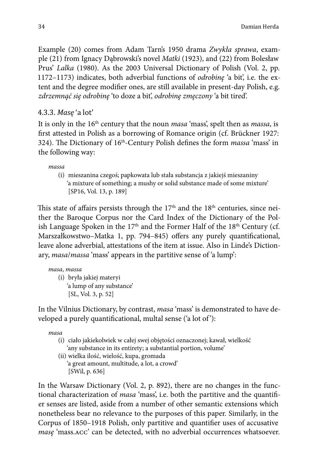Example (20) comes from Adam Tarn's 1950 drama *Zwykła sprawa*, example (21) from Ignacy Dąbrowski's novel *Matki* (1923), and (22) from Bolesław Prus' *Lalka* (1980). As the 2003 Universal Dictionary of Polish (Vol. 2, pp. 1172–1173) indicates, both adverbial functions of *odrobinę* 'a bit', i.e. the extent and the degree modifier ones, are still available in present-day Polish, e.g. *zdrzemnąć się odrobinę* 'to doze a bit', *odrobinę zmęczony* 'a bit tired'.

### 4.3.3. *Masę* 'a lot'

It is only in the 16th century that the noun *masa* 'mass', spelt then as *massa*, is first attested in Polish as a borrowing of Romance origin (cf. Brückner 1927: 324). The Dictionary of 16th-Century Polish defines the form *massa* 'mass' in the following way:

*massa*

(i) mieszanina czegoś; papkowata lub stała substancja z jakiejś mieszaniny 'a mixture of something; a mushy or solid substance made of some mixture' [SP16, Vol. 13, p. 189]

This state of affairs persists through the  $17<sup>th</sup>$  and the  $18<sup>th</sup>$  centuries, since neither the Baroque Corpus nor the Card Index of the Dictionary of the Polish Language Spoken in the  $17<sup>th</sup>$  and the Former Half of the  $18<sup>th</sup>$  Century (cf. Marszałkowstwo–Matka 1, pp. 794–845) offers any purely quantificational, leave alone adverbial, attestations of the item at issue. Also in Linde's Dictionary, *masa*/*massa* 'mass' appears in the partitive sense of 'a lump':

#### *masa*, *massa*

(i) bryła jakiej materyi 'a lump of any substance' [SL, Vol. 3, p. 52]

In the Vilnius Dictionary, by contrast, *masa* 'mass' is demonstrated to have developed a purely quantificational, multal sense ('a lot of '):

*masa*

- (i) ciało jakiekolwiek w całej swej objętości oznaczonej; kawał, wielkość 'any substance in its entirety; a substantial portion, volume'
- (ii) wielka ilość, wielość, kupa, gromada 'a great amount, multitude, a lot, a crowd' [SWil, p. 636]

In the Warsaw Dictionary (Vol. 2, p. 892), there are no changes in the functional characterization of *masa* 'mass', i.e. both the partitive and the quantifier senses are listed, aside from a number of other semantic extensions which nonetheless bear no relevance to the purposes of this paper. Similarly, in the Corpus of 1850–1918 Polish, only partitive and quantifier uses of accusative *masę* 'mass.acc' can be detected, with no adverbial occurrences whatsoever.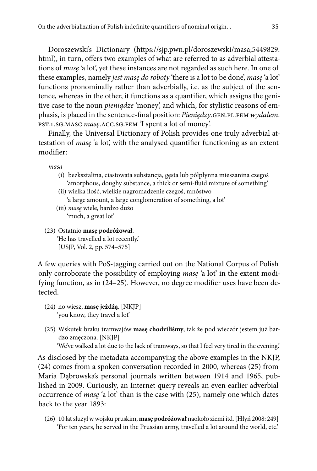Doroszewski's Dictionary (https://sjp.pwn.pl/doroszewski/masa;5449829. html), in turn, offers two examples of what are referred to as adverbial attestations of *masę* 'a lot', yet these instances are not regarded as such here. In one of these examples, namely *jest masę do roboty* 'there is a lot to be done', *masę* 'a lot' functions pronominally rather than adverbially, i.e. as the subject of the sentence, whereas in the other, it functions as a quantifier, which assigns the genitive case to the noun *pieniądze* 'money', and which, for stylistic reasons of emphasis, is placed in the sentence-final position: *Pieniędzy*.gen.pl.fem *wydałem*. pst.1.sg.masc *masę*.acc.sg.fem 'I spent a lot of money'.

Finally, the Universal Dictionary of Polish provides one truly adverbial attestation of *masę* 'a lot', with the analysed quantifier functioning as an extent modifier:

*masa*

- (i) bezkształtna, ciastowata substancja, gęsta lub półpłynna mieszanina czegoś 'amorphous, doughy substance, a thick or semi-fluid mixture of something'
- (ii) wielka ilość, wielkie nagromadzenie czegoś, mnóstwo 'a large amount, a large conglomeration of something, a lot'
- (iii) *masę* wiele, bardzo dużo 'much, a great lot'
- (23) Ostatnio **masę podróżował**.

'He has travelled a lot recently.' [USJP, Vol. 2, pp. 574–575]

A few queries with PoS-tagging carried out on the National Corpus of Polish only corroborate the possibility of employing *masę* 'a lot' in the extent modifying function, as in (24–25). However, no degree modifier uses have been detected.

- (24) no wiesz, **masę jeżdżą**. [NKJP] 'you know, they travel a lot'
- (25) Wskutek braku tramwajów **masę chodziliśmy**, tak że pod wieczór jestem już bardzo zmęczona. [NKJP]

'We've walked a lot due to the lack of tramways, so that I feel very tired in the evening.'

As disclosed by the metadata accompanying the above examples in the NKJP, (24) comes from a spoken conversation recorded in 2000, whereas (25) from Maria Dąbrowska's personal journals written between 1914 and 1965, published in 2009. Curiously, an Internet query reveals an even earlier adverbial occurrence of *masę* 'a lot' than is the case with (25), namely one which dates back to the year 1893:

(26) 10 lat służył w wojsku pruskim, **masę podróżował** naokoło ziemi itd. [Hłyń 2008: 249] 'For ten years, he served in the Prussian army, travelled a lot around the world, etc.'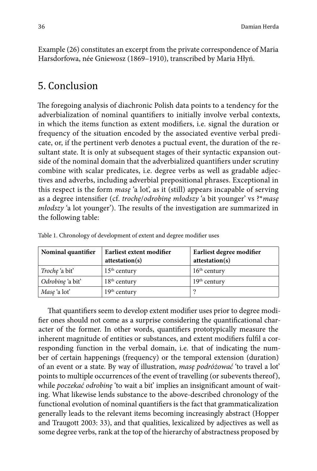Example (26) constitutes an excerpt from the private correspondence of Maria Harsdorfowa, née Gniewosz (1869–1910), transcribed by Maria Hłyń.

# 5. Conclusion

The foregoing analysis of diachronic Polish data points to a tendency for the adverbialization of nominal quantifiers to initially involve verbal contexts, in which the items function as extent modifiers, i.e. signal the duration or frequency of the situation encoded by the associated eventive verbal predicate, or, if the pertinent verb denotes a puctual event, the duration of the resultant state. It is only at subsequent stages of their syntactic expansion outside of the nominal domain that the adverbialized quantifiers under scrutiny combine with scalar predicates, i.e. degree verbs as well as gradable adjectives and adverbs, including adverbial prepositional phrases. Exceptional in this respect is the form *masę* 'a lot', as it (still) appears incapable of serving as a degree intensifier (cf. *trochę*/*odrobinę młodszy* 'a bit younger' vs ?\**masę młodszy* 'a lot younger'). The results of the investigation are summarized in the following table:

| Nominal quantifier    | Earliest extent modifier | Earliest degree modifier |  |  |
|-----------------------|--------------------------|--------------------------|--|--|
|                       | attestation(s)           | attestation(s)           |  |  |
| <i>Troche</i> 'a bit' | $15th$ century           | $16th$ century           |  |  |
| Odrobinę 'a bit'      | $18th$ century           | $19th$ century           |  |  |
| Mase 'a lot'          | $19th$ century           |                          |  |  |

Table 1. Chronology of development of extent and degree modifier uses

That quantifiers seem to develop extent modifier uses prior to degree modifier ones should not come as a surprise considering the quantificational character of the former. In other words, quantifiers prototypically measure the inherent magnitude of entities or substances, and extent modifiers fulfil a corresponding function in the verbal domain, i.e. that of indicating the number of certain happenings (frequency) or the temporal extension (duration) of an event or a state. By way of illustration, *masę podróżować* 'to travel a lot' points to multiple occurrences of the event of travelling (or subevents thereof), while *poczekać odrobinę* 'to wait a bit' implies an insignificant amount of waiting. What likewise lends substance to the above-described chronology of the functional evolution of nominal quantifiers is the fact that grammaticalization generally leads to the relevant items becoming increasingly abstract (Hopper and Traugott 2003: 33), and that qualities, lexicalized by adjectives as well as some degree verbs, rank at the top of the hierarchy of abstractness proposed by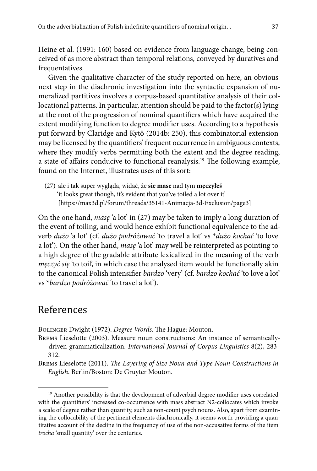Heine et al. (1991: 160) based on evidence from language change, being conceived of as more abstract than temporal relations, conveyed by duratives and frequentatives.

Given the qualitative character of the study reported on here, an obvious next step in the diachronic investigation into the syntactic expansion of numeralized partitives involves a corpus-based quantitative analysis of their collocational patterns. In particular, attention should be paid to the factor(s) lying at the root of the progression of nominal quantifiers which have acquired the extent modifying function to degree modifier uses. According to a hypothesis put forward by Claridge and Kytö (2014b: 250), this combinatorial extension may be licensed by the quantifiers' frequent occurrence in ambiguous contexts, where they modify verbs permitting both the extent and the degree reading, a state of affairs conducive to functional reanalysis.19 The following example, found on the Internet, illustrates uses of this sort:

(27) ale i tak super wygląda, widać, że **sie mase** nad tym **męczyłeś** 'it looks great though, it's evident that you've toiled a lot over it' [https://max3d.pl/forum/threads/35141-Animacja-3d-Exclusion/page3]

On the one hand, *masę* 'a lot' in (27) may be taken to imply a long duration of the event of toiling, and would hence exhibit functional equivalence to the adverb *dużo* 'a lot' (cf. *dużo podróżować* 'to travel a lot' vs \**dużo kochać* 'to love a lot'). On the other hand, *masę* 'a lot' may well be reinterpreted as pointing to a high degree of the gradable attribute lexicalized in the meaning of the verb *męczyć się* 'to toil', in which case the analysed item would be functionally akin to the canonical Polish intensifier *bardzo* 'very' (cf. *bardzo kochać* 'to love a lot' vs \**bardzo podróżować* 'to travel a lot').

# References

Bolinger Dwight (1972). *Degree Words*. The Hague: Mouton.

Brems Lieselotte (2003). Measure noun constructions: An instance of semantically- -driven grammaticalization. *International Journal of Corpus Linguistics* 8(2), 283– 312.

Brems Lieselotte (2011). *The Layering of Size Noun and Type Noun Constructions in English*. Berlin/Boston: De Gruyter Mouton.

<sup>&</sup>lt;sup>19</sup> Another possibility is that the development of adverbial degree modifier uses correlated with the quantifiers' increased co-occurrence with mass abstract N2-collocates which invoke a scale of degree rather than quantity, such as non-count psych nouns. Also, apart from examining the collocability of the pertinent elements diachronically, it seems worth providing a quantitative account of the decline in the frequency of use of the non-accusative forms of the item *trocha* 'small quantity' over the centuries.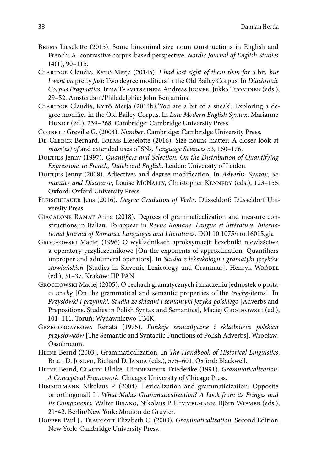- Brems Lieselotte (2015). Some binominal size noun constructions in English and French: A contrastive corpus-based perspective. *Nordic Journal of English Studies* 14(1), 90–115.
- Claridge Claudia, Kytö Merja (2014a). *I had lost sight of them then for* a bit*, but I went on* pretty *fast*: Two degree modifiers in the Old Bailey Corpus. In *Diachronic Corpus Pragmatics*, Irma Taavitsainen, Andreas Jucker, Jukka Tuominen (eds.), 29–52. Amsterdam/Philadelphia: John Benjamins.
- Claridge Claudia, Kytö Merja (2014b).'You are a bit of a sneak': Exploring a degree modifier in the Old Bailey Corpus. In *Late Modern English Syntax*, Marianne HUNDT (ed.), 239-268. Cambridge: Cambridge University Press.
- Corbett Greville G. (2004). *Number*. Cambridge: Cambridge University Press.
- De Clerck Bernard, Brems Lieselotte (2016). Size nouns matter: A closer look at *mass(es) of* and extended uses of SNs. *Language Sciences* 53, 160–176.
- DOETJES Jenny (1997). *Quantifiers and Selection: On the Distribution of Quantifying Expressions in French, Dutch and English*. Leiden: University of Leiden.
- DOETJES Jenny (2008). Adjectives and degree modification. In *Adverbs: Syntax*, Se*mantics and Discourse*, Louise McNALLY, Christopher KENNEDY (eds.), 123-155. Oxford: Oxford University Press.
- Fleischhauer Jens (2016). *Degree Gradation of Verbs*. Düsseldorf: Düsseldorf University Press.
- Giacalone Ramat Anna (2018). Degrees of grammaticalization and measure constructions in Italian. To appear in *Revue Romane. Langue et littérature. International Journal of Romance Languages and Literatures*. DOI 10.1075/rro.16015.gia
- Grochowski Maciej (1996) O wykładnikach aproksymacji: liczebniki niewłaściwe a operatory przyliczebnikowe [On the exponents of approximation: Quantifiers improper and adnumeral operators]. In *Studia z leksykologii i gramatyki języków słowiańskich* [Studies in Slavonic Lexicology and Grammar], Henryk Wróbel (ed.), 31–37. Kraków: IJP PAN.
- Grochowski Maciej (2005). O cechach gramatycznych i znaczeniu jednostek o postaci *trochę* [On the grammatical and semantic properties of the *trochę*-items]. In *Przysłówki i przyimki. Studia ze składni i semantyki języka polskiego* [Adverbs and Prepositions. Studies in Polish Syntax and Semantics], Maciej GROCHOWSKI (ed.), 101–111. Toruń: Wydawnictwo UMK.
- Grzegorczykowa Renata (1975). *Funkcje semantyczne i składniowe polskich przysłówków* [The Semantic and Syntactic Functions of Polish Adverbs]. Wrocław: Ossolineum.
- Heine Bernd (2003). Grammaticalization. In *The Handbook of Historical Linguistics*, Brian D. Joseph, Richard D. Janda (eds.), 575–601. Oxford: Blackwell.
- Heine Bernd, Claudi Ulrike, Hünnemeyer Friederike (1991). *Grammaticalization: A Conceptual Framework*. Chicago: University of Chicago Press.
- Himmelmann Nikolaus P. (2004). Lexicalization and grammaticization: Opposite or orthogonal? In *What Makes Grammaticalization? A Look from its Fringes and its Components*, Walter Bisang, Nikolaus P. Himmelmann, Björn Wiemer (eds.), 21‒42. Berlin/New York: Mouton de Gruyter.
- HOPPER Paul J., TRAUGOTT Elizabeth C. (2003). *Grammaticalization*. Second Edition. New York: Cambridge University Press.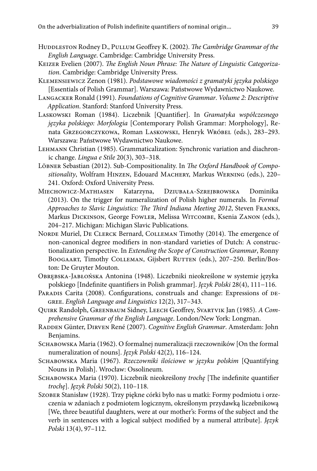- HUDDLESTON Rodney D., PULLUM Geoffrey K. (2002). *The Cambridge Grammar of the English Language*. Cambridge: Cambridge University Press.
- Keizer Evelien (2007). *The English Noun Phrase: The Nature of Linguistic Categorization*. Cambridge: Cambridge University Press.
- Klemensiewicz Zenon (1981). *Podstawowe wiadomości z gramatyki języka polskiego*  [Essentials of Polish Grammar]. Warszawa: Państwowe Wydawnictwo Naukowe.
- Langacker Ronald (1991). *Foundations of Cognitive Grammar*. *Volume 2: Descriptive Application*. Stanford: Stanford University Press.
- Laskowski Roman (1984). Liczebnik [Quantifier]. In *Gramatyka współczesnego języka polskiego: Morfologia* [Contemporary Polish Grammar: Morphology], Renata Grzegorczykowa, Roman Laskowski, Henryk Wróbel (eds.), 283–293. Warszawa: Państwowe Wydawnictwo Naukowe.
- Lehmann Christian (1985). Grammaticalization: Synchronic variation and diachronic change. *Lingua e Stile* 20(3), 303–318.
- Löbner Sebastian (2012). Sub-Compositionality. In *The Oxford Handbook of Compositionality*, Wolfram Hinzen, Edouard Machery, Markus Werning (eds.), 220– 241. Oxford: Oxford University Press.
- Miechowicz-Mathiasen Katarzyna, Dziubała-Szrejbrowska Dominika (2013). On the trigger for numeralization of Polish higher numerals. In *Formal Approaches to Slavic Linguistics: The Third Indiana Meeting 2012*, Steven Franks, Markus Dickinson, George Fowler, Melissa Witcombe, Ksenia Zanon (eds.), 204–217. Michigan: Michigan Slavic Publications.
- NORDE Muriel, DE CLERCK Bernard, COLLEMAN Timothy (2014). The emergence of non-canonical degree modifiers in non-standard varieties of Dutch: A constructionalization perspective. In *Extending the Scope of Construction Grammar*, Ronny BOOGAART, Timothy COLLEMAN, Gijsbert RUTTEN (eds.), 207-250. Berlin/Boston: De Gruyter Mouton.
- Obrębska-Jabłońska Antonina (1948). Liczebniki nieokreślone w systemie języka polskiego [Indefinite quantifiers in Polish grammar]. *Język Polski* 28(4), 111−116.
- PARADIS Carita (2008). Configurations, construals and change: Expressions of DEgree. *English Language and Linguistics* 12(2), 317–343.
- Quirk Randolph, Greenbaum Sidney, Leech Geoffrey, Svartvik Jan (1985). *A Comprehensive Grammar of the English Language*. London/New York: Longman.
- Radden Günter, Dirven René (2007). *Cognitive English Grammar*. Amsterdam: John Benjamins.
- Schabowska Maria (1962). O formalnej numeralizacji rzeczowników [On the formal numeralization of nouns]. *Język Polski* 42(2), 116–124.
- Schabowska Maria (1967). *Rzeczowniki ilościowe w języku polskim* [Quantifying Nouns in Polish]. Wrocław: Ossolineum.
- Schabowska Maria (1970). Liczebnik nieokreślony *trochę* [The indefinite quantifier *trochę*]. *Język Polski* 50(2), 110–118.
- Szober Stanisław (1928). Trzy piękne córki było nas u matki: Formy podmiotu i orzeczenia w zdaniach z podmiotem logicznym, określonym przydawką liczebnikową [We, three beautiful daughters, were at our mother's: Forms of the subject and the verb in sentences with a logical subject modified by a numeral attribute]. *Język Polski* 13(4), 97–112.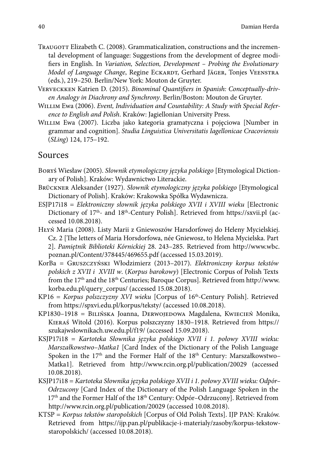- Traugott Elizabeth C. (2008). Grammaticalization, constructions and the incremental development of language: Suggestions from the development of degree modifiers in English. In *Variation, Selection, Development – Probing the Evolutionary Model of Language Change*, Regine ECKARDT, Gerhard JÄGER, Tonjes VEENSTRA (eds.), 219–250. Berlin/New York: Mouton de Gruyter.
- Verveckken Katrien D. (2015). *Binominal Quantifiers in Spanish: Conceptually-driven Analogy in Diachrony and Synchrony*. Berlin/Boston: Mouton de Gruyter.
- Willim Ewa (2006). *Event, Individuation and Countability: A Study with Special Reference to English and Polish*. Kraków: Jagiellonian University Press.
- Willim Ewa (2007). Liczba jako kategoria gramatyczna i pojęciowa [Number in grammar and cognition]. *Studia Linguistica Universitatis Iagellonicae Cracoviensis*  (*SLing*) 124, 175–192.

#### Sources

- Boryś Wiesław (2005). *Słownik etymologiczny języka polskiego* [Etymological Dictionary of Polish]. Kraków: Wydawnictwo Literackie.
- Brückner Aleksander (1927). *Słownik etymologiczny języka polskiego* [Etymological Dictionary of Polish]. Kraków: Krakowska Spółka Wydawnicza.
- ESJP17i18 = *Elektroniczny słownik języka polskiego XVII i XVIII wieku* [Electronic Dictionary of 17<sup>th</sup>- and 18<sup>th</sup>-Century Polish]. Retrieved from https://sxvii.pl (accessed 10.08.2018).
- Hłyń Maria (2008). Listy Marii z Gniewoszów Harsdorfowej do Heleny Mycielskiej. Cz. 2 [The letters of Maria Horsdorfowa, née Gniewosz, to Helena Mycielska. Part 2]. *Pamiętnik Biblioteki Kórnickiej* 28. 243–285. Retrieved from http://www.wbc. poznan.pl/Content/378445/469655.pdf (accessed 15.03.2019).
- KorBa = Gruszczyński Włodzimierz (2013–2017). *Elektroniczny korpus tekstów polskich z XVII i XVIII w*. (*Korpus barokowy*) [Electronic Corpus of Polish Texts from the 17th and the 18th Centuries; Baroque Corpus]. Retrieved from http://www. korba.edu.pl/query\_corpus/ (accessed 15.08.2018).
- KP16 = Korpus polszczyzny XVI wieku [Corpus of 16<sup>th</sup>-Century Polish]. Retrieved from https://spxvi.edu.pl/korpus/teksty/ (accessed 10.08.2018).
- KP1830-1918 = BILIŃSKA Joanna, DERWOJEDOWA Magdalena, KWIECIEŃ Monika, Kieraś Witold (2016). Korpus polszczyzny 1830–1918. Retrieved from https:// szukajwslownikach.uw.edu.pl/f19/ (accessed 15.09.2018).
- KSJP17i18 = *Kartoteka Słownika języka polskiego XVII i 1. połowy XVIII wieku: Marszałkowstwo–Matka1* [Card Index of the Dictionary of the Polish Language Spoken in the  $17<sup>th</sup>$  and the Former Half of the  $18<sup>th</sup>$  Century: Marszałkowstwo– Matka1]. Retrieved from http://www.rcin.org.pl/publication/20029 (accessed 10.08.2018).
- KSJP17i18 = *Kartoteka Słownika języka polskiego XVII i 1. połowy XVIII wieku: Odpór– Odrzucony* [Card Index of the Dictionary of the Polish Language Spoken in the 17<sup>th</sup> and the Former Half of the 18<sup>th</sup> Century: Odpór-Odrzucony]. Retrieved from http://www.rcin.org.pl/publication/20029 (accessed 10.08.2018).
- KTSP = *Korpus tekstów staropolskich* [Corpus of Old Polish Texts]. IJP PAN: Kraków. Retrieved from https://ijp.pan.pl/publikacje-i-materialy/zasoby/korpus-tekstowstaropolskich/ (accessed 10.08.2018).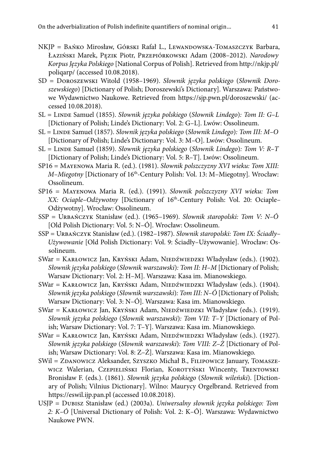- NKJP = Bańko Mirosław, Górski Rafał L., Lewandowska-Tomaszczyk Barbara, Łaziński Marek, Pęzik Piotr, Przepiórkowski Adam (2008–2012). *Narodowy Korpus Języka Polskiego* [National Corpus of Polish]. Retrieved from http://nkjp.pl/ poliqarp/ (accessed 10.08.2018).
- SD = Doroszewski Witold (1958–1969). *Słownik języka polskiego* (*Słownik Doroszewskiego*) [Dictionary of Polish; Doroszewski's Dictionary]. Warszawa: Państwowe Wydawnictwo Naukowe. Retrieved from https://sjp.pwn.pl/doroszewski/ (accessed 10.08.2018).
- SL = Linde Samuel (1855). *Słownik języka polskiego* (*Słownik Lindego*)*: Tom II: G–L*  [Dictionary of Polish; Linde's Dictionary: Vol. 2: G–L]. Lwów: Ossolineum.
- SL = Linde Samuel (1857). *Słownik języka polskiego* (*Słownik Lindego*)*: Tom III: M–O*  [Dictionary of Polish; Linde's Dictionary: Vol. 3: M–O]. Lwów: Ossolineum.
- SL = Linde Samuel (1859). *Słownik języka polskiego* (*Słownik Lindego*)*: Tom V: R–T*  [Dictionary of Polish; Linde's Dictionary: Vol. 5: R–T]. Lwów: Ossolineum.
- SP16 = Mayenowa Maria R. (ed.). (1981). *Słownik polszczyzny XVI wieku: Tom XIII: M–Miegotny* [Dictionary of 16th-Century Polish: Vol. 13: M–Miegotny]*.* Wrocław: Ossolineum.
- SP16 = Mayenowa Maria R. (ed.). (1991). *Słownik polszczyzny XVI wieku: Tom XX: Ociaple-Odżywotny* [Dictionary of 16<sup>th</sup>-Century Polish: Vol. 20: Ociaple-Odżywotny]. Wrocław: Ossolineum.
- SSP = Urbańczyk Stanisław (ed.). (1965–1969). *Słownik staropolski: Tom V: N–Ó*  [Old Polish Dictionary: Vol. 5: N–Ó]. Wrocław: Ossolineum.
- SSP = Urbańczyk Stanisław (ed.). (1982–1987). *Słownik staropolski: Tom IX: Ściadły– Używowanie* [Old Polish Dictionary: Vol. 9: Ściadły–Używowanie]. Wrocław: Ossolineum.
- SWar = KARŁOWICZ Jan, KRYŃSKI Adam, NIEDŹWIEDZKI Władysław (eds.). (1902). *Słownik języka polskiego* (*Słownik warszawski*)*: Tom II: H–M* [Dictionary of Polish; Warsaw Dictionary: Vol. 2: H–M]. Warszawa: Kasa im. Mianowskiego.
- SWar = KARŁOWICZ Jan, KRYŃSKI Adam, NIEDŹWIEDZKI Władysław (eds.). (1904). *Słownik języka polskiego* (*Słownik warszawski*)*: Tom III: N–Ó* [Dictionary of Polish; Warsaw Dictionary: Vol. 3: N–Ó]. Warszawa: Kasa im. Mianowskiego.
- SWar = KARŁOWICZ Jan, KRYŃSKI Adam, NIEDŹWIEDZKI Władysław (eds.). (1919). *Słownik języka polskiego* (*Słownik warszawski*)*: Tom VII: T–Y* [Dictionary of Polish; Warsaw Dictionary: Vol. 7: T–Y]. Warszawa: Kasa im. Mianowskiego.
- SWar = KARŁOWICZ Jan, KRYŃSKI Adam, NIEDŹWIEDZKI Władysław (eds.). (1927). *Słownik języka polskiego* (*Słownik warszawski*)*: Tom VIII: Z–Ż* [Dictionary of Polish; Warsaw Dictionary: Vol. 8: Z–Ż]. Warszawa: Kasa im. Mianowskiego.
- SWil = ZDANOWICZ Aleksander, Szyszko Michał B., FILIPOWICZ January, TOMASZE-WICZ Walerian, Czepieliński Florian, Korotyński Wincenty, Trentowski Bronisław F. (eds.). (1861). *Słownik języka polskiego* (*Słownik wileński*). [Dictionary of Polish; Vilnius Dictionary]. Wilno: Maurycy Orgelbrand. Retrieved from https://eswil.ijp.pan.pl (accessed 10.08.2018).
- USJP = Dubisz Stanisław (ed.) (2003a). *Uniwersalny słownik języka polskiego: Tom 2: K–Ó* [Universal Dictionary of Polish: Vol. 2: K–Ó]. Warszawa: Wydawnictwo Naukowe PWN.